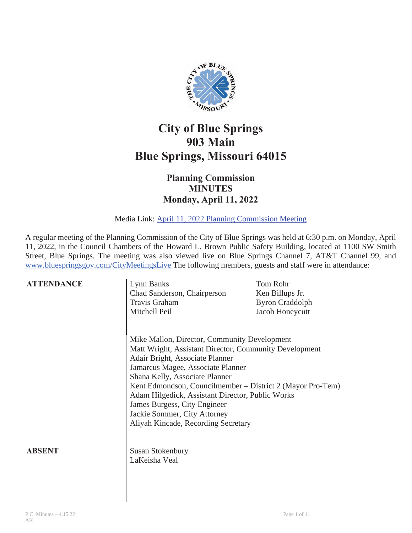

# **City of Blue Springs 903 Main Blue Springs, Missouri 64015**

## **Planning Commission MINUTES Monday, April 11, 2022**

Media Link: April 11, 2022 Planning Commission Meeting

A regular meeting of the Planning Commission of the City of Blue Springs was held at 6:30 p.m. on Monday, April 11, 2022, in the Council Chambers of the Howard L. Brown Public Safety Building, located at 1100 SW Smith Street, Blue Springs. The meeting was also viewed live on Blue Springs Channel 7, AT&T Channel 99, and www.bluespringsgov.com/CityMeetingsLive The following members, guests and staff were in attendance:

| <b>ATTENDANCE</b> | Lynn Banks<br>Chad Sanderson, Chairperson<br>Travis Graham<br>Mitchell Peil                                                                                                                                                                                                                                                                                                                                                               | Tom Rohr<br>Ken Billups Jr.<br><b>Byron Craddolph</b><br>Jacob Honeycutt |
|-------------------|-------------------------------------------------------------------------------------------------------------------------------------------------------------------------------------------------------------------------------------------------------------------------------------------------------------------------------------------------------------------------------------------------------------------------------------------|--------------------------------------------------------------------------|
|                   | Mike Mallon, Director, Community Development<br>Matt Wright, Assistant Director, Community Development<br>Adair Bright, Associate Planner<br>Jamarcus Magee, Associate Planner<br>Shana Kelly, Associate Planner<br>Kent Edmondson, Councilmember – District 2 (Mayor Pro-Tem)<br>Adam Hilgedick, Assistant Director, Public Works<br>James Burgess, City Engineer<br>Jackie Sommer, City Attorney<br>Aliyah Kincade, Recording Secretary |                                                                          |
| ABSENT            | <b>Susan Stokenbury</b><br>LaKeisha Veal                                                                                                                                                                                                                                                                                                                                                                                                  |                                                                          |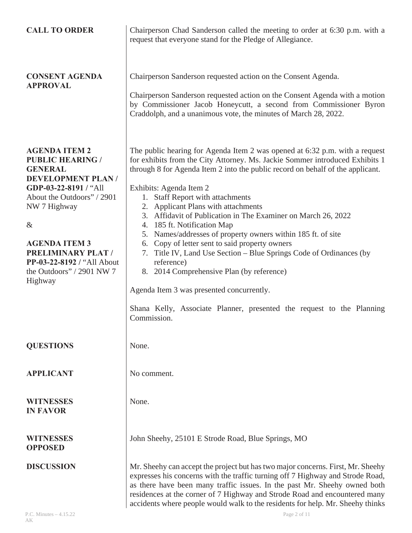| <b>CALL TO ORDER</b>                                                                                                                                                                                                                                                                                    | Chairperson Chad Sanderson called the meeting to order at 6:30 p.m. with a<br>request that everyone stand for the Pledge of Allegiance.                                                                                                                                                                                                                                                                                                                                                                                                                                                                                                                                                                                                                                                                                                                |
|---------------------------------------------------------------------------------------------------------------------------------------------------------------------------------------------------------------------------------------------------------------------------------------------------------|--------------------------------------------------------------------------------------------------------------------------------------------------------------------------------------------------------------------------------------------------------------------------------------------------------------------------------------------------------------------------------------------------------------------------------------------------------------------------------------------------------------------------------------------------------------------------------------------------------------------------------------------------------------------------------------------------------------------------------------------------------------------------------------------------------------------------------------------------------|
| <b>CONSENT AGENDA</b><br><b>APPROVAL</b>                                                                                                                                                                                                                                                                | Chairperson Sanderson requested action on the Consent Agenda.<br>Chairperson Sanderson requested action on the Consent Agenda with a motion<br>by Commissioner Jacob Honeycutt, a second from Commissioner Byron<br>Craddolph, and a unanimous vote, the minutes of March 28, 2022.                                                                                                                                                                                                                                                                                                                                                                                                                                                                                                                                                                    |
| <b>AGENDA ITEM 2</b><br><b>PUBLIC HEARING /</b><br><b>GENERAL</b><br><b>DEVELOPMENT PLAN/</b><br>GDP-03-22-8191 / "All<br>About the Outdoors" / 2901<br>NW 7 Highway<br>$\&$<br><b>AGENDA ITEM 3</b><br><b>PRELIMINARY PLAT /</b><br>PP-03-22-8192 / "All About<br>the Outdoors" / 2901 NW 7<br>Highway | The public hearing for Agenda Item 2 was opened at 6:32 p.m. with a request<br>for exhibits from the City Attorney. Ms. Jackie Sommer introduced Exhibits 1<br>through 8 for Agenda Item 2 into the public record on behalf of the applicant.<br>Exhibits: Agenda Item 2<br><b>Staff Report with attachments</b><br>1.<br>2. Applicant Plans with attachments<br>3. Affidavit of Publication in The Examiner on March 26, 2022<br>4. 185 ft. Notification Map<br>5. Names/addresses of property owners within 185 ft. of site<br>6. Copy of letter sent to said property owners<br>7. Title IV, Land Use Section - Blue Springs Code of Ordinances (by<br>reference)<br>8. 2014 Comprehensive Plan (by reference)<br>Agenda Item 3 was presented concurrently.<br>Shana Kelly, Associate Planner, presented the request to the Planning<br>Commission. |
| <b>QUESTIONS</b>                                                                                                                                                                                                                                                                                        | None.                                                                                                                                                                                                                                                                                                                                                                                                                                                                                                                                                                                                                                                                                                                                                                                                                                                  |
| <b>APPLICANT</b>                                                                                                                                                                                                                                                                                        | No comment.                                                                                                                                                                                                                                                                                                                                                                                                                                                                                                                                                                                                                                                                                                                                                                                                                                            |
| <b>WITNESSES</b><br><b>IN FAVOR</b>                                                                                                                                                                                                                                                                     | None.                                                                                                                                                                                                                                                                                                                                                                                                                                                                                                                                                                                                                                                                                                                                                                                                                                                  |
| <b>WITNESSES</b><br><b>OPPOSED</b>                                                                                                                                                                                                                                                                      | John Sheehy, 25101 E Strode Road, Blue Springs, MO                                                                                                                                                                                                                                                                                                                                                                                                                                                                                                                                                                                                                                                                                                                                                                                                     |
| <b>DISCUSSION</b>                                                                                                                                                                                                                                                                                       | Mr. Sheehy can accept the project but has two major concerns. First, Mr. Sheehy<br>expresses his concerns with the traffic turning off 7 Highway and Strode Road,<br>as there have been many traffic issues. In the past Mr. Sheehy owned both<br>residences at the corner of 7 Highway and Strode Road and encountered many<br>accidents where people would walk to the residents for help. Mr. Sheehy thinks                                                                                                                                                                                                                                                                                                                                                                                                                                         |
| P.C. Minutes $-4.15.22$                                                                                                                                                                                                                                                                                 | Page 2 of 11                                                                                                                                                                                                                                                                                                                                                                                                                                                                                                                                                                                                                                                                                                                                                                                                                                           |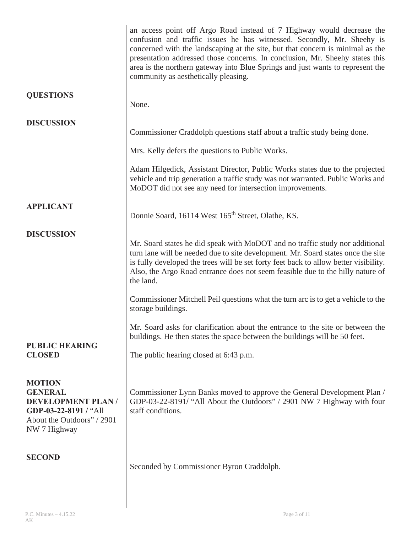|                                                                                                                                    | an access point off Argo Road instead of 7 Highway would decrease the<br>confusion and traffic issues he has witnessed. Secondly, Mr. Sheehy is<br>concerned with the landscaping at the site, but that concern is minimal as the<br>presentation addressed those concerns. In conclusion, Mr. Sheehy states this<br>area is the northern gateway into Blue Springs and just wants to represent the<br>community as aesthetically pleasing. |
|------------------------------------------------------------------------------------------------------------------------------------|---------------------------------------------------------------------------------------------------------------------------------------------------------------------------------------------------------------------------------------------------------------------------------------------------------------------------------------------------------------------------------------------------------------------------------------------|
| <b>QUESTIONS</b>                                                                                                                   | None.                                                                                                                                                                                                                                                                                                                                                                                                                                       |
| <b>DISCUSSION</b>                                                                                                                  | Commissioner Craddolph questions staff about a traffic study being done.                                                                                                                                                                                                                                                                                                                                                                    |
|                                                                                                                                    | Mrs. Kelly defers the questions to Public Works.                                                                                                                                                                                                                                                                                                                                                                                            |
|                                                                                                                                    | Adam Hilgedick, Assistant Director, Public Works states due to the projected<br>vehicle and trip generation a traffic study was not warranted. Public Works and<br>MoDOT did not see any need for intersection improvements.                                                                                                                                                                                                                |
| <b>APPLICANT</b>                                                                                                                   | Donnie Soard, 16114 West 165 <sup>th</sup> Street, Olathe, KS.                                                                                                                                                                                                                                                                                                                                                                              |
| <b>DISCUSSION</b>                                                                                                                  | Mr. Soard states he did speak with MoDOT and no traffic study nor additional<br>turn lane will be needed due to site development. Mr. Soard states once the site<br>is fully developed the trees will be set forty feet back to allow better visibility.<br>Also, the Argo Road entrance does not seem feasible due to the hilly nature of<br>the land.                                                                                     |
|                                                                                                                                    | Commissioner Mitchell Peil questions what the turn arc is to get a vehicle to the<br>storage buildings.                                                                                                                                                                                                                                                                                                                                     |
| <b>PUBLIC HEARING</b>                                                                                                              | Mr. Soard asks for clarification about the entrance to the site or between the<br>buildings. He then states the space between the buildings will be 50 feet.                                                                                                                                                                                                                                                                                |
| <b>CLOSED</b>                                                                                                                      | The public hearing closed at 6:43 p.m.                                                                                                                                                                                                                                                                                                                                                                                                      |
| <b>MOTION</b><br><b>GENERAL</b><br><b>DEVELOPMENT PLAN/</b><br>GDP-03-22-8191 / "All<br>About the Outdoors" / 2901<br>NW 7 Highway | Commissioner Lynn Banks moved to approve the General Development Plan /<br>GDP-03-22-8191/ "All About the Outdoors" / 2901 NW 7 Highway with four<br>staff conditions.                                                                                                                                                                                                                                                                      |
| <b>SECOND</b>                                                                                                                      | Seconded by Commissioner Byron Craddolph.                                                                                                                                                                                                                                                                                                                                                                                                   |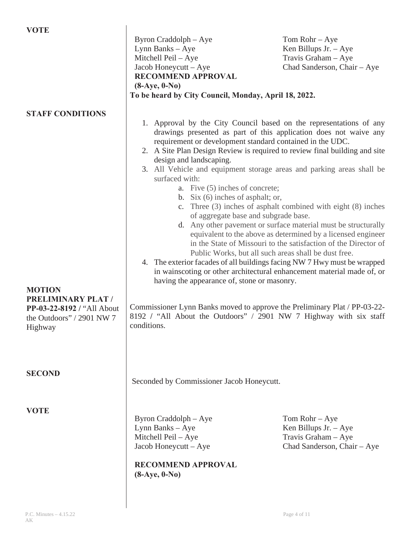| <b>VOTE</b>                                                                                                      |                                                                                                                                                                                                                                                                                                                                                                                                                                                                                                                                                                                                                                                                                                                                                                                                                                                                                                                                                                                                                                                                                                                                                                                                                                        |                                                                                                    |
|------------------------------------------------------------------------------------------------------------------|----------------------------------------------------------------------------------------------------------------------------------------------------------------------------------------------------------------------------------------------------------------------------------------------------------------------------------------------------------------------------------------------------------------------------------------------------------------------------------------------------------------------------------------------------------------------------------------------------------------------------------------------------------------------------------------------------------------------------------------------------------------------------------------------------------------------------------------------------------------------------------------------------------------------------------------------------------------------------------------------------------------------------------------------------------------------------------------------------------------------------------------------------------------------------------------------------------------------------------------|----------------------------------------------------------------------------------------------------|
|                                                                                                                  | Byron Craddolph – Aye<br>Lynn Banks - Aye<br>Mitchell Peil - Aye<br>Jacob Honeycutt – Aye<br><b>RECOMMEND APPROVAL</b><br>$(8-Aye, 0-No)$<br>To be heard by City Council, Monday, April 18, 2022.                                                                                                                                                                                                                                                                                                                                                                                                                                                                                                                                                                                                                                                                                                                                                                                                                                                                                                                                                                                                                                      | Tom Rohr $-$ Aye<br>Ken Billups Jr. $-$ Aye<br>Travis Graham - Aye<br>Chad Sanderson, Chair - Aye  |
|                                                                                                                  |                                                                                                                                                                                                                                                                                                                                                                                                                                                                                                                                                                                                                                                                                                                                                                                                                                                                                                                                                                                                                                                                                                                                                                                                                                        |                                                                                                    |
| <b>STAFF CONDITIONS</b>                                                                                          | 1. Approval by the City Council based on the representations of any<br>drawings presented as part of this application does not waive any<br>requirement or development standard contained in the UDC.<br>2. A Site Plan Design Review is required to review final building and site<br>design and landscaping.<br>3. All Vehicle and equipment storage areas and parking areas shall be<br>surfaced with:<br>a. Five $(5)$ inches of concrete;<br>b. Six $(6)$ inches of asphalt; or,<br>c. Three $(3)$ inches of asphalt combined with eight $(8)$ inches<br>of aggregate base and subgrade base.<br>d. Any other pavement or surface material must be structurally<br>equivalent to the above as determined by a licensed engineer<br>in the State of Missouri to the satisfaction of the Director of<br>Public Works, but all such areas shall be dust free.<br>4. The exterior facades of all buildings facing NW 7 Hwy must be wrapped<br>in wainscoting or other architectural enhancement material made of, or<br>having the appearance of, stone or masonry.<br>Commissioner Lynn Banks moved to approve the Preliminary Plat / PP-03-22-<br>8192 / "All About the Outdoors" / 2901 NW 7 Highway with six staff<br>conditions. |                                                                                                    |
| <b>MOTION</b><br><b>PRELIMINARY PLAT /</b><br>PP-03-22-8192 / "All About<br>the Outdoors" / 2901 NW 7<br>Highway |                                                                                                                                                                                                                                                                                                                                                                                                                                                                                                                                                                                                                                                                                                                                                                                                                                                                                                                                                                                                                                                                                                                                                                                                                                        |                                                                                                    |
| <b>SECOND</b>                                                                                                    | Seconded by Commissioner Jacob Honeycutt.                                                                                                                                                                                                                                                                                                                                                                                                                                                                                                                                                                                                                                                                                                                                                                                                                                                                                                                                                                                                                                                                                                                                                                                              |                                                                                                    |
| <b>VOTE</b>                                                                                                      | Byron Craddolph – Aye<br>Lynn Banks - Aye<br>Mitchell Peil - Aye<br>Jacob Honeycutt - Aye<br><b>RECOMMEND APPROVAL</b><br>$(8-Aye, 0-No)$                                                                                                                                                                                                                                                                                                                                                                                                                                                                                                                                                                                                                                                                                                                                                                                                                                                                                                                                                                                                                                                                                              | $Tom$ Rohr $-Aye$<br>Ken Billups Jr. $-$ Aye<br>Travis Graham - Aye<br>Chad Sanderson, Chair - Aye |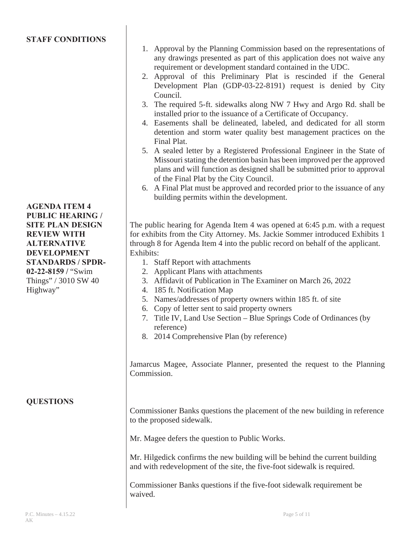### **STAFF CONDITIONS**

**AGENDA ITEM 4 PUBLIC HEARING / SITE PLAN DESIGN REVIEW WITH ALTERNATIVE DEVELOPMENT STANDARDS / SPDR-02-22-8159 /** "Swim Things" / 3010 SW 40 Highway"

#### **QUESTIONS**

- 1. Approval by the Planning Commission based on the representations of any drawings presented as part of this application does not waive any requirement or development standard contained in the UDC.
- 2. Approval of this Preliminary Plat is rescinded if the General Development Plan (GDP-03-22-8191) request is denied by City Council.
- 3. The required 5-ft. sidewalks along NW 7 Hwy and Argo Rd. shall be installed prior to the issuance of a Certificate of Occupancy.
- 4. Easements shall be delineated, labeled, and dedicated for all storm detention and storm water quality best management practices on the Final Plat.
- 5. A sealed letter by a Registered Professional Engineer in the State of Missouri stating the detention basin has been improved per the approved plans and will function as designed shall be submitted prior to approval of the Final Plat by the City Council.
- 6. A Final Plat must be approved and recorded prior to the issuance of any building permits within the development.

The public hearing for Agenda Item 4 was opened at 6:45 p.m. with a request for exhibits from the City Attorney. Ms. Jackie Sommer introduced Exhibits 1 through 8 for Agenda Item 4 into the public record on behalf of the applicant. Exhibits:

- 1. Staff Report with attachments
- 2. Applicant Plans with attachments
- 3. Affidavit of Publication in The Examiner on March 26, 2022
- 4. 185 ft. Notification Map
- 5. Names/addresses of property owners within 185 ft. of site
- 6. Copy of letter sent to said property owners
- 7. Title IV, Land Use Section Blue Springs Code of Ordinances (by reference)
- 8. 2014 Comprehensive Plan (by reference)

Jamarcus Magee, Associate Planner, presented the request to the Planning Commission.

Commissioner Banks questions the placement of the new building in reference to the proposed sidewalk.

Mr. Magee defers the question to Public Works.

Mr. Hilgedick confirms the new building will be behind the current building and with redevelopment of the site, the five-foot sidewalk is required.

Commissioner Banks questions if the five-foot sidewalk requirement be waived.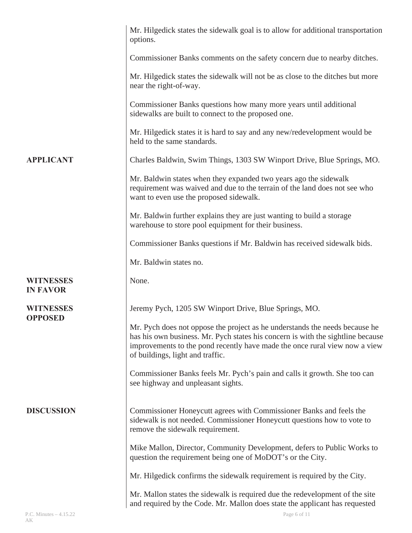|                                     | Mr. Hilgedick states the sidewalk goal is to allow for additional transportation<br>options.                                                                                                                                                                                     |
|-------------------------------------|----------------------------------------------------------------------------------------------------------------------------------------------------------------------------------------------------------------------------------------------------------------------------------|
|                                     | Commissioner Banks comments on the safety concern due to nearby ditches.                                                                                                                                                                                                         |
|                                     | Mr. Hilgedick states the sidewalk will not be as close to the ditches but more<br>near the right-of-way.                                                                                                                                                                         |
|                                     | Commissioner Banks questions how many more years until additional<br>sidewalks are built to connect to the proposed one.                                                                                                                                                         |
|                                     | Mr. Hilgedick states it is hard to say and any new/redevelopment would be<br>held to the same standards.                                                                                                                                                                         |
| <b>APPLICANT</b>                    | Charles Baldwin, Swim Things, 1303 SW Winport Drive, Blue Springs, MO.                                                                                                                                                                                                           |
|                                     | Mr. Baldwin states when they expanded two years ago the sidewalk<br>requirement was waived and due to the terrain of the land does not see who<br>want to even use the proposed sidewalk.                                                                                        |
|                                     | Mr. Baldwin further explains they are just wanting to build a storage<br>warehouse to store pool equipment for their business.                                                                                                                                                   |
|                                     | Commissioner Banks questions if Mr. Baldwin has received sidewalk bids.                                                                                                                                                                                                          |
|                                     | Mr. Baldwin states no.                                                                                                                                                                                                                                                           |
| <b>WITNESSES</b><br><b>IN FAVOR</b> | None.                                                                                                                                                                                                                                                                            |
| <b>WITNESSES</b>                    | Jeremy Pych, 1205 SW Winport Drive, Blue Springs, MO.                                                                                                                                                                                                                            |
| <b>OPPOSED</b>                      | Mr. Pych does not oppose the project as he understands the needs because he<br>has his own business. Mr. Pych states his concern is with the sightline because<br>improvements to the pond recently have made the once rural view now a view<br>of buildings, light and traffic. |
|                                     | Commissioner Banks feels Mr. Pych's pain and calls it growth. She too can<br>see highway and unpleasant sights.                                                                                                                                                                  |
| <b>DISCUSSION</b>                   | Commissioner Honeycutt agrees with Commissioner Banks and feels the<br>sidewalk is not needed. Commissioner Honeycutt questions how to vote to<br>remove the sidewalk requirement.                                                                                               |
|                                     | Mike Mallon, Director, Community Development, defers to Public Works to<br>question the requirement being one of MoDOT's or the City.                                                                                                                                            |
|                                     | Mr. Hilgedick confirms the sidewalk requirement is required by the City.                                                                                                                                                                                                         |
|                                     |                                                                                                                                                                                                                                                                                  |
|                                     | Mr. Mallon states the sidewalk is required due the redevelopment of the site<br>and required by the Code. Mr. Mallon does state the applicant has requested                                                                                                                      |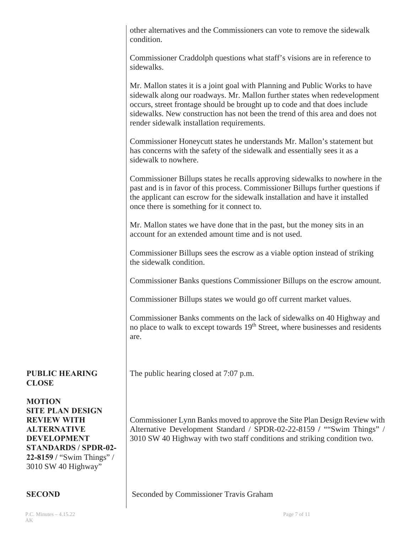|                                                                                                                                                                                               | other alternatives and the Commissioners can vote to remove the sidewalk<br>condition.                                                                                                                                                                                                                                                                               |  |
|-----------------------------------------------------------------------------------------------------------------------------------------------------------------------------------------------|----------------------------------------------------------------------------------------------------------------------------------------------------------------------------------------------------------------------------------------------------------------------------------------------------------------------------------------------------------------------|--|
|                                                                                                                                                                                               | Commissioner Craddolph questions what staff's visions are in reference to<br>sidewalks.                                                                                                                                                                                                                                                                              |  |
|                                                                                                                                                                                               | Mr. Mallon states it is a joint goal with Planning and Public Works to have<br>sidewalk along our roadways. Mr. Mallon further states when redevelopment<br>occurs, street frontage should be brought up to code and that does include<br>sidewalks. New construction has not been the trend of this area and does not<br>render sidewalk installation requirements. |  |
|                                                                                                                                                                                               | Commissioner Honeycutt states he understands Mr. Mallon's statement but<br>has concerns with the safety of the sidewalk and essentially sees it as a<br>sidewalk to nowhere.                                                                                                                                                                                         |  |
|                                                                                                                                                                                               | Commissioner Billups states he recalls approving sidewalks to nowhere in the<br>past and is in favor of this process. Commissioner Billups further questions if<br>the applicant can escrow for the sidewalk installation and have it installed<br>once there is something for it connect to.                                                                        |  |
|                                                                                                                                                                                               | Mr. Mallon states we have done that in the past, but the money sits in an<br>account for an extended amount time and is not used.                                                                                                                                                                                                                                    |  |
|                                                                                                                                                                                               | Commissioner Billups sees the escrow as a viable option instead of striking<br>the sidewalk condition.                                                                                                                                                                                                                                                               |  |
|                                                                                                                                                                                               | Commissioner Banks questions Commissioner Billups on the escrow amount.                                                                                                                                                                                                                                                                                              |  |
|                                                                                                                                                                                               | Commissioner Billups states we would go off current market values.                                                                                                                                                                                                                                                                                                   |  |
|                                                                                                                                                                                               | Commissioner Banks comments on the lack of sidewalks on 40 Highway and<br>no place to walk to except towards 19 <sup>th</sup> Street, where businesses and residents<br>are.                                                                                                                                                                                         |  |
| <b>PUBLIC HEARING</b><br><b>CLOSE</b>                                                                                                                                                         | The public hearing closed at 7:07 p.m.                                                                                                                                                                                                                                                                                                                               |  |
| <b>MOTION</b><br><b>SITE PLAN DESIGN</b><br><b>REVIEW WITH</b><br><b>ALTERNATIVE</b><br><b>DEVELOPMENT</b><br><b>STANDARDS / SPDR-02-</b><br>22-8159 / "Swim Things" /<br>3010 SW 40 Highway" | Commissioner Lynn Banks moved to approve the Site Plan Design Review with<br>Alternative Development Standard / SPDR-02-22-8159 / ""Swim Things" /<br>3010 SW 40 Highway with two staff conditions and striking condition two.                                                                                                                                       |  |
|                                                                                                                                                                                               |                                                                                                                                                                                                                                                                                                                                                                      |  |

Seconded by Commissioner Travis Graham

**SECOND**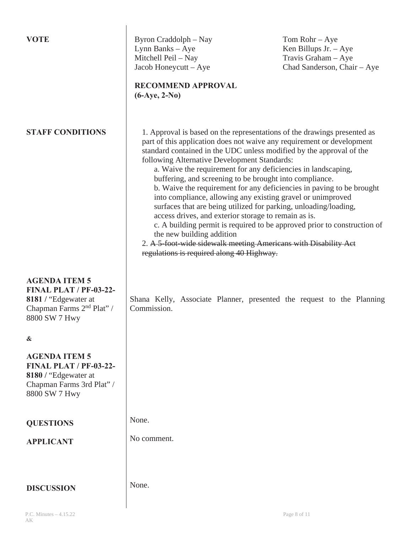| <b>VOTE</b>                                                                                                                             | Byron Craddolph – Nay<br>Lynn Banks - Aye<br>Mitchell Peil - Nay<br>Jacob Honeycutt - Aye<br><b>RECOMMEND APPROVAL</b><br>$(6-Aye, 2-No)$                                                                                                                                                                                                                                                                                                                                                                                                                                                                                                                                                                                                                                                                                                                                                           | $Tom$ Rohr $-Aye$<br>Ken Billups Jr. $-$ Aye<br>Travis Graham - Aye<br>Chad Sanderson, Chair - Aye |
|-----------------------------------------------------------------------------------------------------------------------------------------|-----------------------------------------------------------------------------------------------------------------------------------------------------------------------------------------------------------------------------------------------------------------------------------------------------------------------------------------------------------------------------------------------------------------------------------------------------------------------------------------------------------------------------------------------------------------------------------------------------------------------------------------------------------------------------------------------------------------------------------------------------------------------------------------------------------------------------------------------------------------------------------------------------|----------------------------------------------------------------------------------------------------|
| <b>STAFF CONDITIONS</b>                                                                                                                 | 1. Approval is based on the representations of the drawings presented as<br>part of this application does not waive any requirement or development<br>standard contained in the UDC unless modified by the approval of the<br>following Alternative Development Standards:<br>a. Waive the requirement for any deficiencies in landscaping,<br>buffering, and screening to be brought into compliance.<br>b. Waive the requirement for any deficiencies in paving to be brought<br>into compliance, allowing any existing gravel or unimproved<br>surfaces that are being utilized for parking, unloading/loading,<br>access drives, and exterior storage to remain as is.<br>c. A building permit is required to be approved prior to construction of<br>the new building addition<br>2. A 5-foot-wide sidewalk meeting Americans with Disability Act<br>regulations is required along 40 Highway. |                                                                                                    |
| <b>AGENDA ITEM 5</b><br><b>FINAL PLAT / PF-03-22-</b><br>8181 / "Edgewater at<br>Chapman Farms 2 <sup>nd</sup> Plat" /<br>8800 SW 7 Hwy | Shana Kelly, Associate Planner, presented the request to the Planning<br>Commission.                                                                                                                                                                                                                                                                                                                                                                                                                                                                                                                                                                                                                                                                                                                                                                                                                |                                                                                                    |
| &                                                                                                                                       |                                                                                                                                                                                                                                                                                                                                                                                                                                                                                                                                                                                                                                                                                                                                                                                                                                                                                                     |                                                                                                    |
| <b>AGENDA ITEM 5</b><br><b>FINAL PLAT / PF-03-22-</b><br>8180 / "Edgewater at<br>Chapman Farms 3rd Plat" /<br>8800 SW 7 Hwy             |                                                                                                                                                                                                                                                                                                                                                                                                                                                                                                                                                                                                                                                                                                                                                                                                                                                                                                     |                                                                                                    |
| <b>QUESTIONS</b>                                                                                                                        | None.                                                                                                                                                                                                                                                                                                                                                                                                                                                                                                                                                                                                                                                                                                                                                                                                                                                                                               |                                                                                                    |
| <b>APPLICANT</b>                                                                                                                        | No comment.                                                                                                                                                                                                                                                                                                                                                                                                                                                                                                                                                                                                                                                                                                                                                                                                                                                                                         |                                                                                                    |
| <b>DISCUSSION</b>                                                                                                                       | None.                                                                                                                                                                                                                                                                                                                                                                                                                                                                                                                                                                                                                                                                                                                                                                                                                                                                                               |                                                                                                    |
| P.C. Minutes $-4.15.22$                                                                                                                 |                                                                                                                                                                                                                                                                                                                                                                                                                                                                                                                                                                                                                                                                                                                                                                                                                                                                                                     | Page 8 of 11                                                                                       |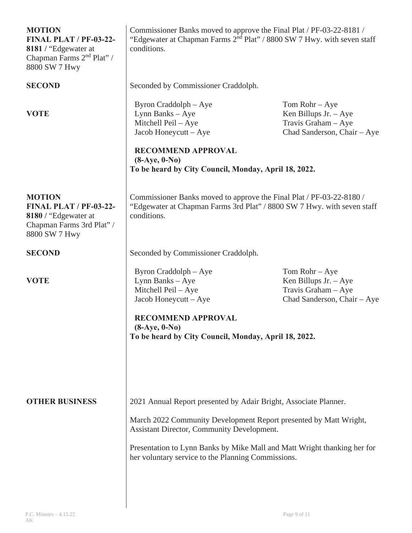| <b>MOTION</b><br><b>FINAL PLAT / PF-03-22-</b><br>8181 / "Edgewater at<br>Chapman Farms 2 <sup>nd</sup> Plat" /<br>8800 SW 7 Hwy | Commissioner Banks moved to approve the Final Plat / PF-03-22-8181 /<br>"Edgewater at Chapman Farms 2 <sup>nd</sup> Plat" / 8800 SW 7 Hwy. with seven staff<br>conditions.                                                                                                                                            |                                                                                                    |
|----------------------------------------------------------------------------------------------------------------------------------|-----------------------------------------------------------------------------------------------------------------------------------------------------------------------------------------------------------------------------------------------------------------------------------------------------------------------|----------------------------------------------------------------------------------------------------|
| <b>SECOND</b>                                                                                                                    | Seconded by Commissioner Craddolph.                                                                                                                                                                                                                                                                                   |                                                                                                    |
| <b>VOTE</b>                                                                                                                      | Byron Craddolph – Aye<br>Lynn Banks - Aye<br>Mitchell Peil - Aye<br>Jacob Honeycutt - Aye<br><b>RECOMMEND APPROVAL</b><br>$(8-Aye, 0-No)$<br>To be heard by City Council, Monday, April 18, 2022.                                                                                                                     | $Tom$ Rohr $-Aye$<br>Ken Billups Jr. $-$ Aye<br>Travis Graham - Aye<br>Chad Sanderson, Chair - Aye |
| <b>MOTION</b><br><b>FINAL PLAT / PF-03-22-</b><br>8180 / "Edgewater at<br>Chapman Farms 3rd Plat" /<br>8800 SW 7 Hwy             | Commissioner Banks moved to approve the Final Plat / PF-03-22-8180 /<br>"Edgewater at Chapman Farms 3rd Plat" / 8800 SW 7 Hwy. with seven staff<br>conditions.                                                                                                                                                        |                                                                                                    |
| <b>SECOND</b>                                                                                                                    | Seconded by Commissioner Craddolph.                                                                                                                                                                                                                                                                                   |                                                                                                    |
| <b>VOTE</b>                                                                                                                      | Byron Craddolph – Aye<br>Lynn Banks - Aye<br>Mitchell Peil - Aye<br>Jacob Honeycutt - Aye<br><b>RECOMMEND APPROVAL</b><br>$(8-Aye, 0-No)$<br>To be heard by City Council, Monday, April 18, 2022.                                                                                                                     | $Tom$ Rohr $-Aye$<br>Ken Billups Jr. $-$ Aye<br>Travis Graham - Aye<br>Chad Sanderson, Chair - Aye |
| <b>OTHER BUSINESS</b>                                                                                                            | 2021 Annual Report presented by Adair Bright, Associate Planner.<br>March 2022 Community Development Report presented by Matt Wright,<br>Assistant Director, Community Development.<br>Presentation to Lynn Banks by Mike Mall and Matt Wright thanking her for<br>her voluntary service to the Planning Commissions. |                                                                                                    |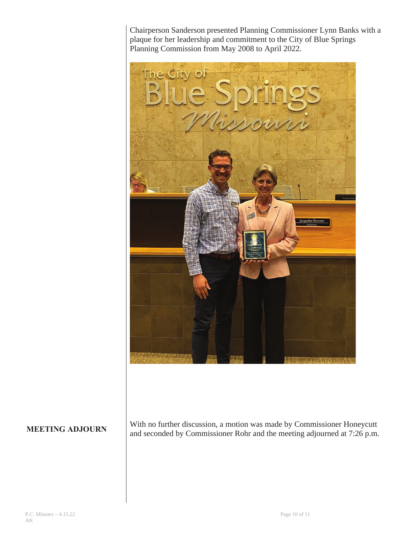Chairperson Sanderson presented Planning Commissioner Lynn Banks with a plaque for her leadership and commitment to the City of Blue Springs Planning Commission from May 2008 to April 2022.



#### **MEETING ADJOURN**

With no further discussion, a motion was made by Commissioner Honeycutt and seconded by Commissioner Rohr and the meeting adjourned at 7:26 p.m.